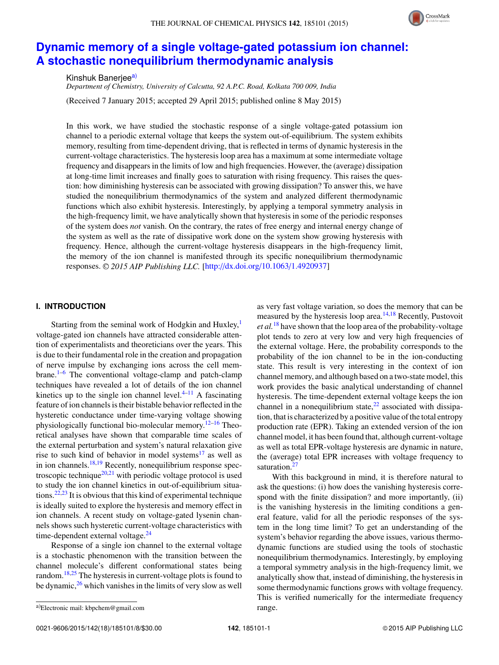#### THE JOURNAL OF CHEMICAL PHYSICS 142, 185101 (2015)



# **Dynamic memory of a single voltage-gated potassium ion channel: A stochastic nonequilibrium thermodynamic analysis**

Kinshuk Banerjee<sup>a)</sup>

*Department of Chemistry, University of Calcutta, 92 A.P.C. Road, Kolkata 700 009, India* (Received 7 January 2015; accepted 29 April 2015; published online 8 May 2015)

In this work, we have studied the stochastic response of a single voltage-gated potassium ion channel to a periodic external voltage that keeps the system out-of-equilibrium. The system exhibits memory, resulting from time-dependent driving, that is reflected in terms of dynamic hysteresis in the current-voltage characteristics. The hysteresis loop area has a maximum at some intermediate voltage frequency and disappears in the limits of low and high frequencies. However, the (average) dissipation at long-time limit increases and finally goes to saturation with rising frequency. This raises the question: how diminishing hysteresis can be associated with growing dissipation? To answer this, we have studied the nonequilibrium thermodynamics of the system and analyzed different thermodynamic functions which also exhibit hysteresis. Interestingly, by applying a temporal symmetry analysis in the high-frequency limit, we have analytically shown that hysteresis in some of the periodic responses of the system does *not* vanish. On the contrary, the rates of free energy and internal energy change of the system as well as the rate of dissipative work done on the system show growing hysteresis with frequency. Hence, although the current-voltage hysteresis disappears in the high-frequency limit, the memory of the ion channel is manifested through its specific nonequilibrium thermodynamic responses. <sup>C</sup> *2015 AIP Publishing LLC.* [http://dx.doi.org/10.1063/1.4920937]

# **I. INTRODUCTION**

Starting from the seminal work of Hodgkin and Huxley,<sup>1</sup> voltage-gated ion channels have attracted considerable attention of experimentalists and theoreticians over the years. This is due to their fundamental role in the creation and propagation of nerve impulse by exchanging ions across the cell membrane. $1-6$  The conventional voltage-clamp and patch-clamp techniques have revealed a lot of details of the ion channel kinetics up to the single ion channel level. $4-11$  A fascinating feature of ion channels is their bistable behavior reflected in the hysteretic conductance under time-varying voltage showing physiologically functional bio-molecular memory.<sup>12–16</sup> Theoretical analyses have shown that comparable time scales of the external perturbation and system's natural relaxation give rise to such kind of behavior in model systems $17$  as well as in ion channels.<sup>18,19</sup> Recently, nonequilibrium response spectroscopic technique<sup>20,21</sup> with periodic voltage protocol is used to study the ion channel kinetics in out-of-equilibrium situations.<sup>22,23</sup> It is obvious that this kind of experimental technique is ideally suited to explore the hysteresis and memory effect in ion channels. A recent study on voltage-gated lysenin channels shows such hysteretic current-voltage characteristics with time-dependent external voltage.<sup>24</sup>

Response of a single ion channel to the external voltage is a stochastic phenomenon with the transition between the channel molecule's different conformational states being random.<sup>18,25</sup> The hysteresis in current-voltage plots is found to be dynamic, $2<sup>6</sup>$  which vanishes in the limits of very slow as well as very fast voltage variation, so does the memory that can be measured by the hysteresis loop area. $14,18$  Recently, Pustovoit *et al.*<sup>18</sup> have shown that the loop area of the probability-voltage plot tends to zero at very low and very high frequencies of the external voltage. Here, the probability corresponds to the probability of the ion channel to be in the ion-conducting state. This result is very interesting in the context of ion channel memory, and although based on a two-state model, this work provides the basic analytical understanding of channel hysteresis. The time-dependent external voltage keeps the ion channel in a nonequilibrium state, $22$  associated with dissipation, that is characterized by a positive value of the total entropy production rate (EPR). Taking an extended version of the ion channel model, it has been found that, although current-voltage as well as total EPR-voltage hysteresis are dynamic in nature, the (average) total EPR increases with voltage frequency to saturation.<sup>27</sup>

With this background in mind, it is therefore natural to ask the questions: (i) how does the vanishing hysteresis correspond with the finite dissipation? and more importantly, (ii) is the vanishing hysteresis in the limiting conditions a general feature, valid for all the periodic responses of the system in the long time limit? To get an understanding of the system's behavior regarding the above issues, various thermodynamic functions are studied using the tools of stochastic nonequilibrium thermodynamics. Interestingly, by employing a temporal symmetry analysis in the high-frequency limit, we analytically show that, instead of diminishing, the hysteresis in some thermodynamic functions grows with voltage frequency. This is verified numerically for the intermediate frequency range.

a)Electronic mail: kbpchem@gmail.com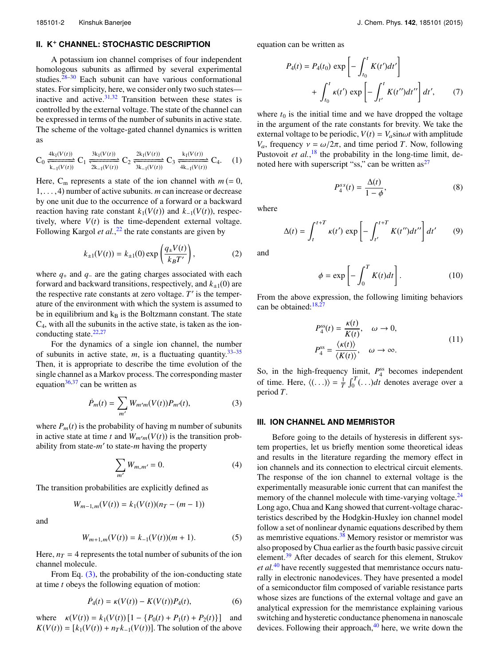## **II. K**<sup>+</sup> **CHANNEL: STOCHASTIC DESCRIPTION**

A potassium ion channel comprises of four independent homologous subunits as affirmed by several experimental studies.<sup>28–30</sup> Each subunit can have various conformational states. For simplicity, here, we consider only two such states inactive and active. $31,32$  Transition between these states is controlled by the external voltage. The state of the channel can be expressed in terms of the number of subunits in active state. The scheme of the voltage-gated channel dynamics is written as

$$
C_0 \frac{4k_1(V(t))}{k_{-1}(V(t))} C_1 \frac{3k_1(V(t))}{2k_{-1}(V(t))} C_2 \frac{2k_1(V(t))}{3k_{-1}(V(t))} C_3 \frac{k_1(V(t))}{4k_{-1}(V(t))} C_4. (1)
$$

Here,  $C_m$  represents a state of the ion channel with  $m (= 0, 0)$ 1,. . . ,4) number of active subunits. *m* can increase or decrease by one unit due to the occurrence of a forward or a backward reaction having rate constant  $k_1(V(t))$  and  $k_{-1}(V(t))$ , respectively, where  $V(t)$  is the time-dependent external voltage. Following Kargol *et al.*,<sup>22</sup> the rate constants are given by

$$
k_{\pm 1}(V(t)) = k_{\pm 1}(0) \exp\left(\frac{q_{\pm}V(t)}{k_B T'}\right),
$$
 (2)

where *q*<sup>+</sup> and *q*<sup>−</sup> are the gating charges associated with each forward and backward transitions, respectively, and  $k_{\pm 1}(0)$  are the respective rate constants at zero voltage. *T* ′ is the temperature of the environment with which the system is assumed to be in equilibrium and  $k_B$  is the Boltzmann constant. The state  $C<sub>4</sub>$ , with all the subunits in the active state, is taken as the ionconducting state. $22,27$ 

For the dynamics of a single ion channel, the number of subunits in active state,  $m$ , is a fluctuating quantity.<sup>33–35</sup> Then, it is appropriate to describe the time evolution of the single channel as a Markov process. The corresponding master equation $36,37$  can be written as

$$
\dot{P}_m(t) = \sum_{m'} W_{m'm}(V(t)) P_{m'}(t), \tag{3}
$$

where  $P_m(t)$  is the probability of having m number of subunits in active state at time *t* and  $W_{m'm}(V(t))$  is the transition probability from state-*m* ′ to state-*m* having the property

$$
\sum_{m'} W_{m,m'} = 0.
$$
\n<sup>(4)</sup>

The transition probabilities are explicitly defined as

$$
W_{m-1,m}(V(t)) = k_1(V(t))(n_T - (m-1))
$$

and

$$
W_{m+1,m}(V(t)) = k_{-1}(V(t))(m+1). \tag{5}
$$

Here,  $n_T = 4$  represents the total number of subunits of the ion channel molecule.

From Eq.  $(3)$ , the probability of the ion-conducting state at time *t* obeys the following equation of motion:

$$
\dot{P}_4(t) = \kappa(V(t)) - K(V(t))P_4(t),\tag{6}
$$

where  $\kappa(V(t)) = k_1(V(t)) [1 - {P_0(t) + P_1(t) + P_2(t)}]$  and  $K(V(t)) = [k_1(V(t)) + n_T k_{-1}(V(t))]$ . The solution of the above equation can be written as

$$
P_4(t) = P_4(t_0) \exp\left[-\int_{t_0}^t K(t')dt'\right]
$$

$$
+ \int_{t_0}^t \kappa(t') \exp\left[-\int_{t'}^t K(t'')dt''\right]dt', \qquad (7)
$$

where  $t_0$  is the initial time and we have dropped the voltage in the argument of the rate constants for brevity. We take the external voltage to be periodic,  $V(t) = V_a \sin \omega t$  with amplitude *V<sub>a</sub>*, frequency  $ν = ω/2π$ , and time period *T*. Now, following Pustovoit *et al.*,<sup>18</sup> the probability in the long-time limit, denoted here with superscript "ss," can be written  $as^{27}$ 

$$
P_4^{ss}(t) = \frac{\Delta(t)}{1 - \phi},\tag{8}
$$

where

 $\Delta(t) = \int^{t+T}$ t  $\kappa(t') \exp \left[-\int^{t+T}$  $\int_{t'}^{t+T} K(t'')dt''\right]dt'$ (9)

and

$$
\phi = \exp\left[-\int_0^T K(t)dt\right].\tag{10}
$$

From the above expression, the following limiting behaviors can be obtained: $18,27$ 

$$
P_4^{\text{ss}}(t) = \frac{\kappa(t)}{K(t)}, \quad \omega \to 0,
$$
  

$$
P_4^{\text{ss}} = \frac{\langle \kappa(t) \rangle}{\langle K(t) \rangle}, \quad \omega \to \infty.
$$
 (11)

So, in the high-frequency limit,  $P_4^{\text{ss}}$  becomes independent of time. Here,  $\langle (\ldots) \rangle = \frac{1}{T} \int_0^T (\ldots) dt$  denotes average over a period *T*.

# **III. ION CHANNEL AND MEMRISTOR**

Before going to the details of hysteresis in different system properties, let us briefly mention some theoretical ideas and results in the literature regarding the memory effect in ion channels and its connection to electrical circuit elements. The response of the ion channel to external voltage is the experimentally measurable ionic current that can manifest the memory of the channel molecule with time-varying voltage.<sup>24</sup> Long ago, Chua and Kang showed that current-voltage characteristics described by the Hodgkin-Huxley ion channel model follow a set of nonlinear dynamic equations described by them as memristive equations.<sup>38</sup> Memory resistor or memristor was also proposed by Chua earlier as the fourth basic passive circuit element.<sup>39</sup> After decades of search for this element, Strukov *et al.*<sup>40</sup> have recently suggested that memristance occurs naturally in electronic nanodevices. They have presented a model of a semiconductor film composed of variable resistance parts whose sizes are functions of the external voltage and gave an analytical expression for the memristance explaining various switching and hysteretic conductance phenomena in nanoscale devices. Following their approach, $40$  here, we write down the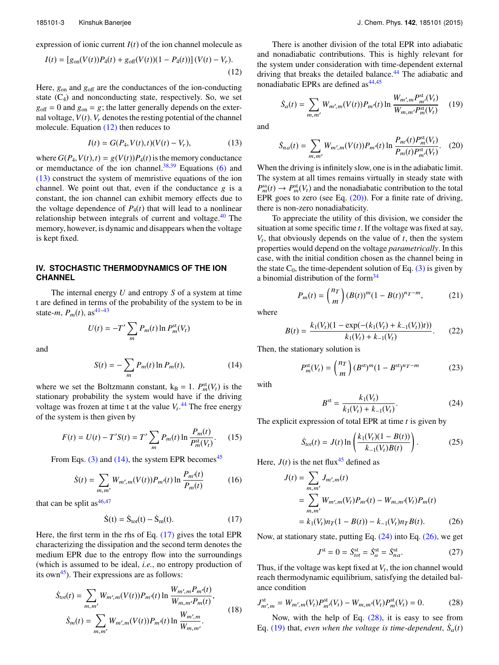expression of ionic current  $I(t)$  of the ion channel molecule as

$$
I(t) = [g_{on}(V(t))P_4(t) + g_{off}(V(t))(1 - P_4(t))](V(t) - V_r).
$$
\n(12)

Here,  $g_{on}$  and  $g_{off}$  are the conductances of the ion-conducting state  $(C_4)$  and nonconducting state, respectively. So, we set  $g_{\text{off}} = 0$  and  $g_{\text{on}} = g$ ; the latter generally depends on the external voltage,  $V(t)$ .  $V_r$  denotes the resting potential of the channel molecule. Equation (12) then reduces to

$$
I(t) = G(P_4, V(t), t)(V(t) - V_r),
$$
\n(13)

where  $G(P_4, V(t), t) = g(V(t))P_4(t)$  is the memory conductance or memductance of the ion channel.<sup>38,39</sup> Equations (6) and (13) construct the system of memristive equations of the ion channel. We point out that, even if the conductance  $g$  is a constant, the ion channel can exhibit memory effects due to the voltage dependence of  $P_4(t)$  that will lead to a nonlinear relationship between integrals of current and voltage.<sup>40</sup> The memory, however, is dynamic and disappears when the voltage is kept fixed.

# **IV. STOCHASTIC THERMODYNAMICS OF THE ION CHANNEL**

 $U(t) = -T' \sum$ 

The internal energy *U* and entropy *S* of a system at time t are defined in terms of the probability of the system to be in state-*m*,  $P_m(t)$ , as<sup>41–43</sup>

m

and

$$
S(t) = -\sum_{m} P_m(t) \ln P_m(t),
$$
 (14)

 $P_m(t)$  ln  $P_m^{\text{st}}(V_t)$ 

where we set the Boltzmann constant,  $k_B = 1$ .  $P_m^{\text{st}}(V_t)$  is the stationary probability the system would have if the driving voltage was frozen at time t at the value  $V_t$ .<sup>44</sup> The free energy of the system is then given by

$$
F(t) = U(t) - T'S(t) = T' \sum_{m} P_m(t) \ln \frac{P_m(t)}{P_m^{\text{st}}(V_t)}.
$$
 (15)

From Eqs. (3) and (14), the system EPR becomes<sup>45</sup>

$$
\dot{S}(t) = \sum_{m,m'} W_{m',m}(V(t)) P_{m'}(t) \ln \frac{P_{m'}(t)}{P_m(t)}
$$
(16)

that can be split as  $46,47$ 

$$
\dot{S}(t) = \dot{S}_{tot}(t) - \dot{S}_{m}(t). \qquad (17)
$$

Here, the first term in the rhs of Eq. (17) gives the total EPR characterizing the dissipation and the second term denotes the medium EPR due to the entropy flow into the surroundings (which is assumed to be ideal, *i.e.*, no entropy production of its own<sup>45</sup>). Their expressions are as follows:

$$
\dot{S}_{tot}(t) = \sum_{m,m'} W_{m',m}(V(t)) P_{m'}(t) \ln \frac{W_{m',m} P_{m'}(t)}{W_{m,m'} P_m(t)},
$$
\n
$$
\dot{S}_m(t) = \sum_{m,m'} W_{m',m}(V(t)) P_{m'}(t) \ln \frac{W_{m',m}}{W_{m,m'}}.
$$
\n(18)

There is another division of the total EPR into adiabatic and nonadiabatic contributions. This is highly relevant for the system under consideration with time-dependent external driving that breaks the detailed balance.<sup>44</sup> The adiabatic and nonadiabatic EPRs are defined as  $44,45$ 

$$
\dot{S}_a(t) = \sum_{m,m'} W_{m',m}(V(t)) P_{m'}(t) \ln \frac{W_{m',m} P_{m'}^{\text{st}}(V_t)}{W_{m,m'} P_{m}^{\text{st}}(V_t)} \tag{19}
$$

and

$$
\dot{S}_{na}(t) = \sum_{m,m'} W_{m',m}(V(t)) P_{m'}(t) \ln \frac{P_{m'}(t) P_{m}^{\text{st}}(V_t)}{P_m(t) P_{m'}^{\text{st}}(V_t)}.
$$
 (20)

When the driving is infinitely slow, one is in the adiabatic limit. The system at all times remains virtually in steady state with  $P_m^{\text{ss}}(t) \to P_m^{\text{st}}(V_t)$  and the nonadiabatic contribution to the total EPR goes to zero (see Eq. (20)). For a finite rate of driving, there is non-zero nonadiabaticity.

To appreciate the utility of this division, we consider the situation at some specific time *t*. If the voltage was fixed at say,  $V_t$ , that obviously depends on the value of  $t$ , then the system properties would depend on the voltage *parametrically*. In this case, with the initial condition chosen as the channel being in the state  $C_0$ , the time-dependent solution of Eq. (3) is given by a binomial distribution of the form $34$ 

$$
P_m(t) = {n_T \choose m} (B(t))^m (1 - B(t))^{n_T - m},
$$
 (21)

where

$$
B(t) = \frac{k_1(V_t)(1 - \exp(-(k_1(V_t) + k_{-1}(V_t))t))}{k_1(V_t) + k_{-1}(V_t)}.
$$
 (22)

Then, the stationary solution is

$$
P_m^{\text{st}}(V_t) = \binom{n_T}{m} (B^{\text{st}})^m (1 - B^{\text{st}})^{n_T - m} \tag{23}
$$

with

$$
B^{\text{st}} = \frac{k_1(V_t)}{k_1(V_t) + k_{-1}(V_t)}.
$$
\n(24)

The explicit expression of total EPR at time *t* is given by

$$
\dot{S}_{tot}(t) = J(t) \ln \left( \frac{k_1(V_t)(1 - B(t))}{k_{-1}(V_t)B(t)} \right). \tag{25}
$$

Here,  $J(t)$  is the net flux<sup>45</sup> defined as

$$
J(t) = \sum_{m,m'} J_{m',m}(t)
$$
  
= 
$$
\sum_{m,m'} W_{m',m}(V_t)P_{m'}(t) - W_{m,m'}(V_t)P_m(t)
$$
  
= 
$$
k_1(V_t)n_T(1 - B(t)) - k_{-1}(V_t)n_T B(t).
$$
 (26)

Now, at stationary state, putting Eq.  $(24)$  into Eq.  $(26)$ , we get

$$
J^{\rm st} = 0 = \dot{S}^{\rm st}_{tot} = \dot{S}^{\rm st}_a = \dot{S}^{\rm st}_{na}.
$$
 (27)

Thus, if the voltage was kept fixed at  $V_t$ , the ion channel would reach thermodynamic equilibrium, satisfying the detailed balance condition

$$
J_{m',m}^{\text{st}} = W_{m',m}(V_t)P_{m'}^{\text{st}}(V_t) - W_{m,m'}(V_t)P_{m}^{\text{st}}(V_t) = 0.
$$
 (28)

Now, with the help of Eq.  $(28)$ , it is easy to see from Eq.  $(19)$  that, *even when the voltage is time-dependent*,  $\dot{S}_a(t)$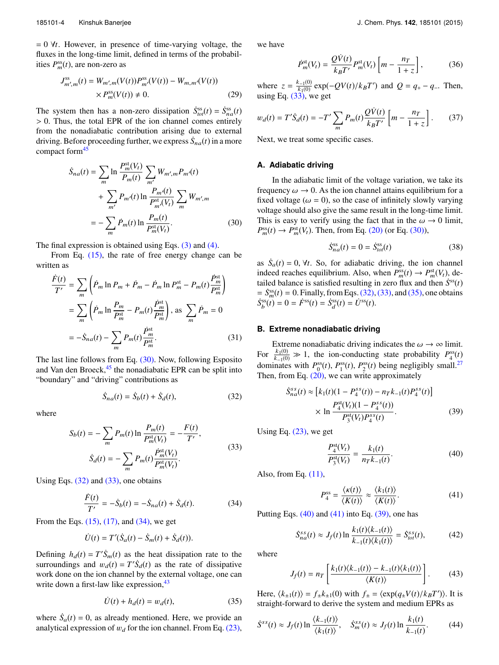= 0 ∀*t*. However, in presence of time-varying voltage, the fluxes in the long-time limit, defined in terms of the probabilities  $P_m^{\text{ss}}(t)$ , are non-zero as

$$
J_{m',m}^{ss}(t) = W_{m',m}(V(t))P_{m'}^{ss}(V(t)) - W_{m,m'}(V(t))
$$
  
×  $P_m^{ss}(V(t)) \neq 0$ . (29)

The system then has a non-zero dissipation  $\dot{S}^{ss}_{tot}(t) = \dot{S}^{ss}_{na}(t)$ > 0. Thus, the total EPR of the ion channel comes entirely from the nonadiabatic contribution arising due to external driving. Before proceeding further, we express  $\dot{S}_{na}(t)$  in a more compact form<sup>45</sup>

$$
\dot{S}_{na}(t) = \sum_{m} \ln \frac{P_m^{\text{st}}(V_t)}{P_m(t)} \sum_{m'} W_{m',m} P_{m'}(t) \n+ \sum_{m'} P_{m'}(t) \ln \frac{P_{m'}(t)}{P_{m'}^{\text{st}}(V_t)} \sum_{m} W_{m',m} \n= - \sum_{m} \dot{P}_m(t) \ln \frac{P_m(t)}{P_m^{\text{st}}(V_t)}.
$$
\n(30)

The final expression is obtained using Eqs.  $(3)$  and  $(4)$ .

From Eq. (15), the rate of free energy change can be written as

$$
\frac{\dot{F}(t)}{T'} = \sum_{m} \left( \dot{P}_{m} \ln P_{m} + \dot{P}_{m} - \dot{P}_{m} \ln P_{m}^{\text{st}} - P_{m}(t) \frac{\dot{P}_{m}^{\text{st}}}{P_{m}^{\text{st}}} \right)
$$
\n
$$
= \sum_{m} \left( \dot{P}_{m} \ln \frac{P_{m}}{P_{m}^{\text{st}}} - P_{m}(t) \frac{\dot{P}_{m}^{\text{st}}}{P_{m}^{\text{st}}} \right), \text{ as } \sum_{m} \dot{P}_{m} = 0
$$
\n
$$
= -\dot{S}_{na}(t) - \sum_{m} P_{m}(t) \frac{\dot{P}_{m}^{\text{st}}}{P_{m}^{\text{st}}}.
$$
\n(31)

The last line follows from Eq. (30). Now, following Esposito and Van den Broeck, $45$  the nonadiabatic EPR can be split into "boundary" and "driving" contributions as

$$
\dot{S}_{na}(t) = \dot{S}_b(t) + \dot{S}_d(t),\tag{32}
$$

where

$$
S_b(t) = -\sum_{m} P_m(t) \ln \frac{P_m(t)}{P_m^{\text{st}}(V_t)} = -\frac{F(t)}{T'},
$$
  

$$
\dot{S}_d(t) = -\sum_{m} P_m(t) \frac{P_m^{\text{st}}(V_t)}{P_m^{\text{st}}(V_t)}.
$$
 (33)

Using Eqs.  $(32)$  and  $(33)$ , one obtains

$$
\frac{\dot{F}(t)}{T'} = -\dot{S}_b(t) = -\dot{S}_{na}(t) + \dot{S}_d(t).
$$
 (34)

From the Eqs. (15), (17), and (34), we get

$$
\dot{U}(t) = T'(\dot{S}_a(t) - \dot{S}_m(t) + \dot{S}_d(t)).
$$

Defining  $h_d(t) = T'\dot{S}_m(t)$  as the heat dissipation rate to the surroundings and  $w_d(t) = T'\dot{S}_d(t)$  as the rate of dissipative work done on the ion channel by the external voltage, one can write down a first-law like expression,  $43$ 

$$
\dot{U}(t) + h_d(t) = w_d(t),\tag{35}
$$

where  $\dot{S}_a(t) = 0$ , as already mentioned. Here, we provide an analytical expression of  $w_d$  for the ion channel. From Eq. (23), we have

$$
\dot{P}_{m}^{\text{st}}(V_{t}) = \frac{\mathcal{Q}\dot{V}(t)}{k_{B}T'}P_{m}^{\text{st}}(V_{t})\left[m-\frac{n_{T}}{1+\zeta}\right],\tag{36}
$$

where  $z = \frac{k_{-1}(0)}{k_1(0)}$  $\frac{k_{-1}(0)}{k_1(0)}$  exp(−*QV*(*t*)/*k*<sub>B</sub>*T*') and *Q* = *q*<sub>+</sub> − *q*−. Then, using Eq.  $(33)$ , we get

$$
w_d(t) = T'\dot{S}_d(t) = -T'\sum_m P_m(t)\frac{Q\dot{V}(t)}{k_B T'}\left[m - \frac{n_T}{1+z}\right].
$$
 (37)

Next, we treat some specific cases.

### **A. Adiabatic driving**

In the adiabatic limit of the voltage variation, we take its frequency  $\omega \rightarrow 0$ . As the ion channel attains equilibrium for a fixed voltage ( $\omega = 0$ ), so the case of infinitely slowly varying voltage should also give the same result in the long-time limit. This is easy to verify using the fact that in the  $\omega \rightarrow 0$  limit,  $P_m^{\text{ss}}(t) \to P_m^{\text{st}}(V_t)$ . Then, from Eq. (20) (or Eq. (30)),

$$
\dot{S}_{na}^{\rm ss}(t) = 0 = \dot{S}_{tot}^{\rm ss}(t) \tag{38}
$$

as  $\dot{S}_a(t) = 0$ ,  $\forall t$ . So, for adiabatic driving, the ion channel indeed reaches equilibrium. Also, when  $P_m^{\text{ss}}(t) \to P_m^{\text{st}}(V_t)$ , detailed balance is satisfied resulting in zero flux and then  $S^{\text{ss}}(t)$  $=$   $S_m^{\text{ss}}(t) = 0$ . Finally, from Eqs. (32), (33), and (35), one obtains  $\dot{S}_b^{\text{ss}}(t) = 0 = \dot{F}^{\text{ss}}(t) = \dot{S}_d^{\text{ss}}(t) = \dot{U}^{\text{ss}}(t).$ 

## **B. Extreme nonadiabatic driving**

Extreme nonadiabatic driving indicates the  $\omega \rightarrow \infty$  limit. For  $\frac{k_1(0)}{k_1(0)}$  $\frac{k_1(0)}{k_{-1}(0)} \gg 1$ , the ion-conducting state probability  $P_4^{\text{ss}}(t)$ dominates with  $P_0^{\text{ss}}(t)$ ,  $P_1^{\text{ss}}(t)$ ,  $P_2^{\text{ss}}(t)$  being negligibly small.<sup>27</sup> Then, from Eq.  $(20)$ , we can write approximately

$$
\dot{S}_{na}^{ss}(t) \approx \left[ k_1(t)(1 - P_4^{ss}(t)) - n_T k_{-1}(t) P_4^{ss}(t) \right] \times \ln \frac{P_4^{st}(V_t)(1 - P_4^{ss}(t))}{P_3^{st}(V_t) P_4^{ss}(t)}.
$$
\n(39)

Using Eq.  $(23)$ , we get

$$
\frac{P_4^{\text{st}}(V_t)}{P_3^{\text{st}}(V_t)} = \frac{k_1(t)}{n_T k_{-1}(t)}.
$$
\n(40)

Also, from Eq.  $(11)$ ,

$$
P_4^{\rm ss} = \frac{\langle \kappa(t) \rangle}{\langle K(t) \rangle} \approx \frac{\langle k_1(t) \rangle}{\langle K(t) \rangle}.
$$
 (41)

Putting Eqs.  $(40)$  and  $(41)$  into Eq.  $(39)$ , one has

$$
\dot{S}_{na}^{ss}(t) \approx J_f(t) \ln \frac{k_1(t)\langle k_{-1}(t)\rangle}{k_{-1}(t)\langle k_1(t)\rangle} = \dot{S}_{tot}^{ss}(t),\tag{42}
$$

where

$$
J_f(t) = n_T \left[ \frac{k_1(t) \langle k_{-1}(t) \rangle - k_{-1}(t) \langle k_1(t) \rangle}{\langle K(t) \rangle} \right]. \tag{43}
$$

Here,  $\langle k_{\pm 1}(t) \rangle = f_{\pm}k_{\pm 1}(0)$  with  $f_{\pm} = \langle \exp(q_{\pm}V(t)/k_BT') \rangle$ . It is straight-forward to derive the system and medium EPRs as

$$
\dot{S}^{ss}(t) \approx J_f(t) \ln \frac{\langle k_{-1}(t) \rangle}{\langle k_1(t) \rangle}, \quad \dot{S}_m^{ss}(t) \approx J_f(t) \ln \frac{k_1(t)}{k_{-1}(t)}.
$$
 (44)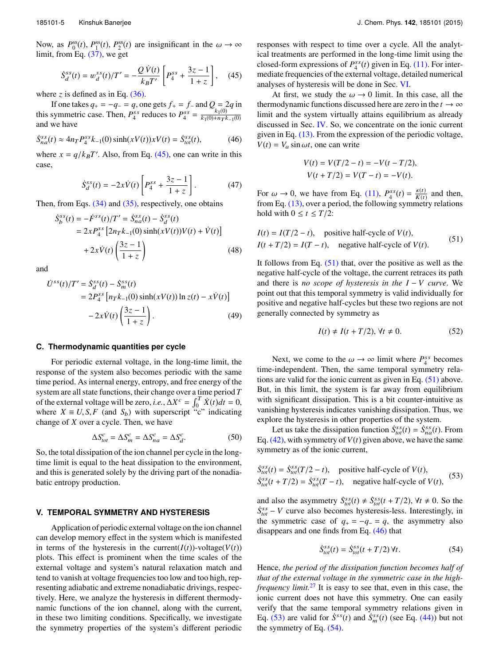Now, as  $P_0^{\text{ss}}(t)$ ,  $P_1^{\text{ss}}(t)$ ,  $P_2^{\text{ss}}(t)$  are insignificant in the  $\omega \to \infty$ limit, from Eq. (37), we get

$$
\dot{S}_d^{ss}(t) = w_d^{ss}(t)/T' = -\frac{Q\,\dot{V}(t)}{k_B T'} \left[ P_4^{ss} + \frac{3z - 1}{1 + z} \right],\tag{45}
$$

where  $\zeta$  is defined as in Eq.  $(36)$ .

If one takes  $q_{+} = -q_{-} = q$ , one gets  $f_{+} = f_{-}$  and  $Q = 2q$  in this symmetric case. Then,  $P_4^{ss}$  reduces to  $P_4^{ss} = \frac{k_1(0)}{k_1(0) + n_T k_1}$  $k_1(0) + n_T k_{-1}(0)$ and we have

$$
\dot{S}_{na}^{ss}(t) \approx 4n_{T} P_{4}^{ss} k_{-1}(0) \sinh(xV(t)) xV(t) = \dot{S}_{tot}^{ss}(t), \tag{46}
$$

where  $x = q/k_B T'$ . Also, from Eq. (45), one can write in this case,

$$
\dot{S}_d^{ss}(t) = -2x\dot{V}(t)\left[P_4^{ss} + \frac{3z - 1}{1 + z}\right].
$$
 (47)

Then, from Eqs. (34) and (35), respectively, one obtains

$$
\dot{S}_{b}^{ss}(t) = -\dot{F}^{ss}(t)/T' = \dot{S}_{na}^{ss}(t) - \dot{S}_{d}^{ss}(t) \n= 2xP_{4}^{ss} [2n_{T}k_{-1}(0)\sinh(xV(t))V(t) + \dot{V}(t)] \n+ 2x\dot{V}(t)\left(\frac{3z - 1}{1 + z}\right)
$$
\n(48)

and

$$
\dot{U}^{ss}(t)/T' = \dot{S}_{d}^{ss}(t) - \dot{S}_{m}^{ss}(t) \n= 2P_{4}^{ss} [n_T k_{-1}(0) \sinh(xV(t)) \ln z(t) - x\dot{V}(t)] \n- 2x\dot{V}(t) \left(\frac{3z - 1}{1 + z}\right).
$$
\n(49)

#### **C. Thermodynamic quantities per cycle**

For periodic external voltage, in the long-time limit, the response of the system also becomes periodic with the same time period. As internal energy, entropy, and free energy of the system are all state functions, their change over a time period *T* of the external voltage will be zero, *i.e.*,  $\Delta X^c = \int_0^T \dot{X}(t) dt = 0$ , where  $X \equiv U, S, F$  (and  $S_b$ ) with superscript "c" indicating change of *X* over a cycle. Then, we have

$$
\Delta S_{tot}^c = \Delta S_m^c = \Delta S_{na}^c = \Delta S_d^c.
$$
 (50)

So, the total dissipation of the ion channel per cycle in the longtime limit is equal to the heat dissipation to the environment, and this is generated solely by the driving part of the nonadiabatic entropy production.

# **V. TEMPORAL SYMMETRY AND HYSTERESIS**

Application of periodic external voltage on the ion channel can develop memory effect in the system which is manifested in terms of the hysteresis in the current( $I(t)$ )-voltage( $V(t)$ ) plots. This effect is prominent when the time scales of the external voltage and system's natural relaxation match and tend to vanish at voltage frequencies too low and too high, representing adiabatic and extreme nonadiabatic drivings, respectively. Here, we analyze the hysteresis in different thermodynamic functions of the ion channel, along with the current, in these two limiting conditions. Specifically, we investigate the symmetry properties of the system's different periodic

responses with respect to time over a cycle. All the analytical treatments are performed in the long-time limit using the closed-form expressions of  $P_4^{ss}(t)$  given in Eq. (11). For intermediate frequencies of the external voltage, detailed numerical analyses of hysteresis will be done in Sec. VI.

At first, we study the  $\omega \rightarrow 0$  limit. In this case, all the thermodynamic functions discussed here are zero in the  $t \to \infty$ limit and the system virtually attains equilibrium as already discussed in Sec. IV. So, we concentrate on the ionic current given in Eq. (13). From the expression of the periodic voltage,  $V(t) = V_a \sin \omega t$ , one can write

$$
V(t) = V(T/2 - t) = -V(t - T/2),
$$
  
\n
$$
V(t + T/2) = V(T - t) = -V(t).
$$

For  $\omega \to 0$ , we have from Eq. (11),  $P_4^{ss}(t) = \frac{\kappa(t)}{K(t)}$  $\frac{K(t)}{K(t)}$  and then, from Eq. (13), over a period, the following symmetry relations hold with  $0 \le t \le T/2$ :

$$
I(t) = I(T/2 - t),
$$
 positive half-cycle of  $V(t)$ ,  

$$
I(t + T/2) = I(T - t),
$$
 negative half-cycle of  $V(t)$ . (51)

It follows from Eq.  $(51)$  that, over the positive as well as the negative half-cycle of the voltage, the current retraces its path and there is *no scope of hysteresis in the I* − *V curve*. We point out that this temporal symmetry is valid individually for positive and negative half-cycles but these two regions are not generally connected by symmetry as

$$
I(t) \neq I(t + T/2), \forall t \neq 0.
$$
 (52)

Next, we come to the  $\omega \to \infty$  limit where  $P_4^{ss}$  becomes time-independent. Then, the same temporal symmetry relations are valid for the ionic current as given in Eq. (51) above. But, in this limit, the system is far away from equilibrium with significant dissipation. This is a bit counter-intuitive as vanishing hysteresis indicates vanishing dissipation. Thus, we explore the hysteresis in other properties of the system.

Let us take the dissipation function  $\dot{S}^{ss}_{tot}(t) = \dot{S}^{ss}_{na}(t)$ . From Eq.  $(42)$ , with symmetry of  $V(t)$  given above, we have the same symmetry as of the ionic current,

$$
\dot{S}_{tot}^{ss}(t) = \dot{S}_{tot}^{ss}(T/2 - t),
$$
 positive half-cycle of  $V(t)$ ,  
\n
$$
\dot{S}_{tot}^{ss}(t + T/2) = \dot{S}_{tot}^{ss}(T - t),
$$
 negative half-cycle of  $V(t)$ , (53)

and also the asymmetry  $\dot{S}_{tot}^{ss}(t) \neq \dot{S}_{tot}^{ss}(t + T/2)$ ,  $\forall t \neq 0$ . So the  $\dot{S}_{tot}^{ss}$  − *V* curve also becomes hysteresis-less. Interestingly, in the symmetric case of  $q_{+} = -q_{-} = q$ , the asymmetry also disappears and one finds from Eq. (46) that

$$
\dot{S}^{ss}_{tot}(t) = \dot{S}^{ss}_{tot}(t + T/2) \,\forall t. \tag{54}
$$

Hence, *the period of the dissipation function becomes half of that of the external voltage in the symmetric case in the highfrequency limit.*<sup>27</sup> It is easy to see that, even in this case, the ionic current does not have this symmetry. One can easily verify that the same temporal symmetry relations given in Eq. (53) are valid for  $\dot{S}^{ss}(t)$  and  $\dot{S}^{ss}(t)$  (see Eq. (44)) but not the symmetry of Eq. (54).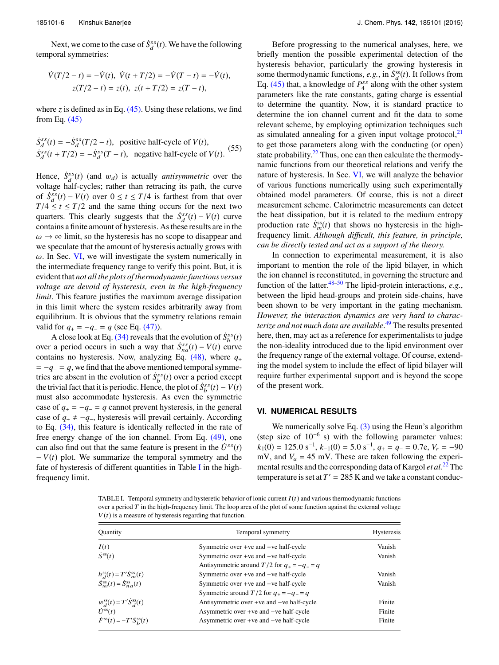Next, we come to the case of  $\dot{S}_d^{ss}(t)$ . We have the following temporal symmetries:

$$
\dot{V}(T/2 - t) = -\dot{V}(t), \quad \dot{V}(t + T/2) = -\dot{V}(T - t) = -\dot{V}(t),
$$
\n
$$
z(T/2 - t) = z(t), \quad z(t + T/2) = z(T - t),
$$

where *z* is defined as in Eq.  $(45)$ . Using these relations, we find from Eq. (45)

$$
\dot{S}_d^{ss}(t) = -\dot{S}_d^{ss}(T/2 - t),
$$
 positive half-cycle of  $V(t)$ ,  
\n
$$
\dot{S}_d^{ss}(t + T/2) = -\dot{S}_d^{ss}(T - t),
$$
 negative half-cycle of  $V(t)$ . (55)

Hence,  $\dot{S}_d^{ss}(t)$  (and  $w_d$ ) is actually *antisymmetric* over the voltage half-cycles; rather than retracing its path, the curve of  $\dot{S}_d^{ss}(t) - V(t)$  over  $0 \le t \le T/4$  is farthest from that over  $T/4 \le t \le T/2$  and the same thing occurs for the next two quarters. This clearly suggests that the  $\dot{S}_d^{ss}(t) - V(t)$  curve contains a finite amount of hysteresis. As these results are in the  $\omega \rightarrow \infty$  limit, so the hysteresis has no scope to disappear and we speculate that the amount of hysteresis actually grows with  $\omega$ . In Sec. VI, we will investigate the system numerically in the intermediate frequency range to verify this point. But, it is evident that *not all the plots of thermodynamic functions versus voltage are devoid of hysteresis, even in the high-frequency limit*. This feature justifies the maximum average dissipation in this limit where the system resides arbitrarily away from equilibrium. It is obvious that the symmetry relations remain valid for  $q_{+} = -q_{-} = q$  (see Eq. (47)).

A close look at Eq. (34) reveals that the evolution of  $\dot{S}_b^{ss}(t)$ over a period occurs in such a way that  $\dot{S}_{na}^{ss}(t) - V(t)$  curve contains no hysteresis. Now, analyzing Eq.  $(48)$ , where  $q_+$  $= -q_{-} = q$ , we find that the above mentioned temporal symmetries are absent in the evolution of  $\dot{S}_b^{ss}(t)$  over a period except the trivial fact that it is periodic. Hence, the plot of  $\dot{S}_b^{ss}(t) - V(t)$ must also accommodate hysteresis. As even the symmetric case of  $q_+ = -q_- = q$  cannot prevent hysteresis, in the general case of  $q_+ \neq -q_-\$ , hysteresis will prevail certainly. According to Eq. (34), this feature is identically reflected in the rate of free energy change of the ion channel. From Eq. (49), one can also find out that the same feature is present in the  $\dot{U}^{ss}(t)$  $-V(t)$  plot. We summarize the temporal symmetry and the fate of hysteresis of different quantities in Table I in the highfrequency limit.

Before progressing to the numerical analyses, here, we briefly mention the possible experimental detection of the hysteresis behavior, particularly the growing hysteresis in some thermodynamic functions, *e.g.*, in  $\dot{S}_d^{ss}(t)$ . It follows from Eq.  $(45)$  that, a knowledge of  $P_4^{ss}$  along with the other system parameters like the rate constants, gating charge is essential to determine the quantity. Now, it is standard practice to determine the ion channel current and fit the data to some relevant scheme, by employing optimization techniques such as simulated annealing for a given input voltage protocol, $2<sup>1</sup>$ to get those parameters along with the conducting (or open) state probability. $22$  Thus, one can then calculate the thermodynamic functions from our theoretical relations and verify the nature of hysteresis. In Sec. VI, we will analyze the behavior of various functions numerically using such experimentally obtained model parameters. Of course, this is not a direct measurement scheme. Calorimetric measurements can detect the heat dissipation, but it is related to the medium entropy production rate  $\dot{S}_m^{\text{ss}}(t)$  that shows no hysteresis in the highfrequency limit. *Although di*ffi*cult, this feature, in principle, can be directly tested and act as a support of the theory.*

In connection to experimental measurement, it is also important to mention the role of the lipid bilayer, in which the ion channel is reconstituted, in governing the structure and function of the latter.48–50 The lipid-protein interactions, *e.g.*, between the lipid head-groups and protein side-chains, have been shown to be very important in the gating mechanism. *However, the interaction dynamics are very hard to characterize and not much data are available*. <sup>49</sup> The results presented here, then, may act as a reference for experimentalists to judge the non-ideality introduced due to the lipid environment over the frequency range of the external voltage. Of course, extending the model system to include the effect of lipid bilayer will require further experimental support and is beyond the scope of the present work.

#### **VI. NUMERICAL RESULTS**

We numerically solve Eq. (3) using the Heun's algorithm (step size of  $10^{-6}$  s) with the following parameter values:  $k_1(0) = 125.0 \text{ s}^{-1}, k_{-1}(0) = 5.0 \text{ s}^{-1}, q_+ = q_- = 0.7 \text{e}, V_r = -90$ mV, and  $V_a = 45$  mV. These are taken following the experimental results and the corresponding data of Kargol *et al.*<sup>22</sup> The temperature is set at  $T' = 285$  K and we take a constant conduc-

TABLE I. Temporal symmetry and hysteretic behavior of ionic current  $I(t)$  and various thermodynamic functions over a period  $T$  in the high-frequency limit. The loop area of the plot of some function against the external voltage  $V(t)$  is a measure of hysteresis regarding that function.

| Quantity                                               | Temporal symmetry                                   | Hysteresis |
|--------------------------------------------------------|-----------------------------------------------------|------------|
| I(t)                                                   | Symmetric over +ve and -ve half-cycle               | Vanish     |
| $\dot{S}^{\rm ss}(t)$                                  | Symmetric over +ve and -ve half-cycle               | Vanish     |
|                                                        | Antisymmetric around $T/2$ for $q_{+} = -q_{-} = q$ |            |
| $h_d^{\rm ss}(t) = T'\dot{S}_m^{\rm ss}(t)$            | Symmetric over +ve and -ve half-cycle               | Vanish     |
| $\dot{S}_{tot}^{ss}(t) = \dot{S}_{na}^{ss}(t)$         | Symmetric over $+ve$ and $-ve$ half-cycle           | Vanish     |
|                                                        | Symmetric around T/2 for $q_{+} = -q_{-} = q$       |            |
| $w_d^{\text{ss}}(t) = T'\dot{S}_d^{\text{ss}}(t)$      | Antisymmetric over +ve and -ve half-cycle           | Finite     |
| $\dot{U}^{ss}(t)$                                      | Asymmetric over +ve and -ve half-cycle              | Finite     |
| $\dot{F}^{\rm ss}(t) = -T'\dot{S}^{\rm ss}_{\rm b}(t)$ | Asymmetric over +ve and -ve half-cycle              | Finite     |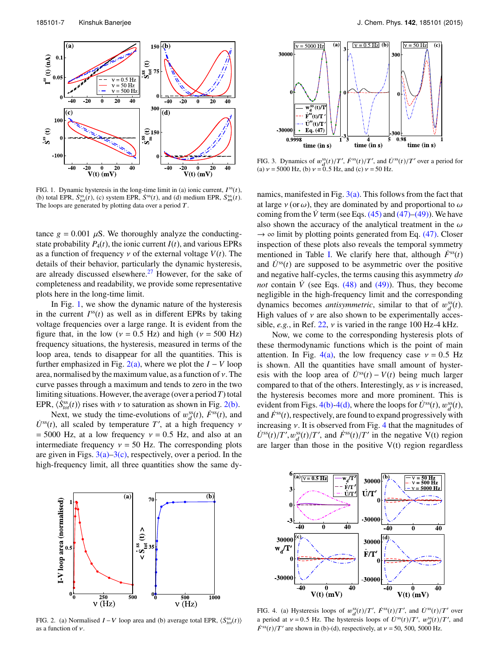

FIG. 1. Dynamic hysteresis in the long-time limit in (a) ionic current,  $I^{ss}(t)$ , (b) total EPR,  $\dot{S}_{tot}^{ss}(t)$ , (c) system EPR,  $\dot{S}^{ss}(t)$ , and (d) medium EPR,  $\dot{S}_{m}^{ss}(t)$ . The loops are generated by plotting data over a period  $T$ .

tance  $g = 0.001 \mu S$ . We thoroughly analyze the conductingstate probability  $P_4(t)$ , the ionic current  $I(t)$ , and various EPRs as a function of frequency  $\nu$  of the external voltage  $V(t)$ . The details of their behavior, particularly the dynamic hysteresis, are already discussed elsewhere. $27$  However, for the sake of completeness and readability, we provide some representative plots here in the long-time limit.

In Fig. 1, we show the dynamic nature of the hysteresis in the current  $I^{ss}(t)$  as well as in different EPRs by taking voltage frequencies over a large range. It is evident from the figure that, in the low ( $v = 0.5$  Hz) and high ( $v = 500$  Hz) frequency situations, the hysteresis, measured in terms of the loop area, tends to disappear for all the quantities. This is further emphasized in Fig.  $2(a)$ , where we plot the  $I - V$  loop area, normalised by the maximum value, as a function of  $\nu$ . The curve passes through a maximum and tends to zero in the two limiting situations. However, the average (over a period*T*) total EPR,  $\langle \dot{S}_{tot}^{ss}(t) \rangle$  rises with  $\nu$  to saturation as shown in Fig. 2(b).

Next, we study the time-evolutions of  $w_d^{\text{ss}}(t)$ ,  $\dot{F}^{\text{ss}}(t)$ , and  $\dot{U}^{ss}(t)$ , all scaled by temperature *T'*, at a high frequency  $\nu$  $= 5000$  Hz, at a low frequency  $v = 0.5$  Hz, and also at an intermediate frequency  $v = 50$  Hz. The corresponding plots are given in Figs.  $3(a)-3(c)$ , respectively, over a period. In the high-frequency limit, all three quantities show the same dy-



FIG. 3. Dynamics of  $w_d^{\text{ss}}(t)/T'$ ,  $\dot{F}^{\text{ss}}(t)/T'$ , and  $\dot{U}^{\text{ss}}(t)/T'$  over a period for (a)  $v = 5000$  Hz, (b)  $v = 0.5$  Hz, and (c)  $v = 50$  Hz.

namics, manifested in Fig.  $3(a)$ . This follows from the fact that at large  $v$  (or  $\omega$ ), they are dominated by and proportional to  $\omega$ coming from the *V* term (see Eqs.  $(45)$  and  $(47)$ – $(49)$ ). We have also shown the accuracy of the analytical treatment in the  $\omega$  $\rightarrow \infty$  limit by plotting points generated from Eq. (47). Closer inspection of these plots also reveals the temporal symmetry mentioned in Table I. We clarify here that, although  $\hat{F}^{\text{ss}}(t)$ and  $\dot{U}^{ss}(t)$  are supposed to be asymmetric over the positive and negative half-cycles, the terms causing this asymmetry *do not* contain  $\dot{V}$  (see Eqs. (48) and (49)). Thus, they become negligible in the high-frequency limit and the corresponding dynamics becomes *antisymmetric*, similar to that of  $w_d^{\text{ss}}(t)$ . High values of  $\nu$  are also shown to be experimentally accessible,  $e.g.,$  in Ref.  $22, v$  is varied in the range 100 Hz-4 kHz.

Now, we come to the corresponding hysteresis plots of these thermodynamic functions which is the point of main attention. In Fig. 4(a), the low frequency case  $v = 0.5$  Hz is shown. All the quantities have small amount of hysteresis with the loop area of  $\dot{U}^{ss}(t) - V(t)$  being much larger compared to that of the others. Interestingly, as  $\nu$  is increased, the hysteresis becomes more and more prominent. This is evident from Figs. 4(b)-4(d), where the loops for  $U^{ss}(t)$ ,  $w_d^{ss}(t)$ , and  $\dot{F}^{ss}(t)$ , respectively, are found to expand progressively with increasing  $\nu$ . It is observed from Fig. 4 that the magnitudes of  $\dot{U}^{ss}(t)/T', w_d^{ss}(t)/T'$ , and  $\dot{F}^{ss}(t)/T'$  in the negative V(t) region are larger than those in the positive  $V(t)$  region regardless



FIG. 2. (a) Normalised  $I - V$  loop area and (b) average total EPR,  $\langle \dot{S}_{tot}^{ss}(t) \rangle$ as a function of  $\nu$ .



FIG. 4. (a) Hysteresis loops of  $w_d^{\text{ss}}(t)/T'$ ,  $\dot{F}^{\text{ss}}(t)/T'$ , and  $\dot{U}^{\text{ss}}(t)/T'$  over a period at  $v = 0.5$  Hz. The hysteresis loops of  $\dot{U}^{ss}(t)/T'$ ,  $w_{d}^{ss}(t)/T'$ , and  $\dot{F}^{ss}(t)/T'$  are shown in (b)-(d), respectively, at  $v = 50$ , 500, 5000 Hz.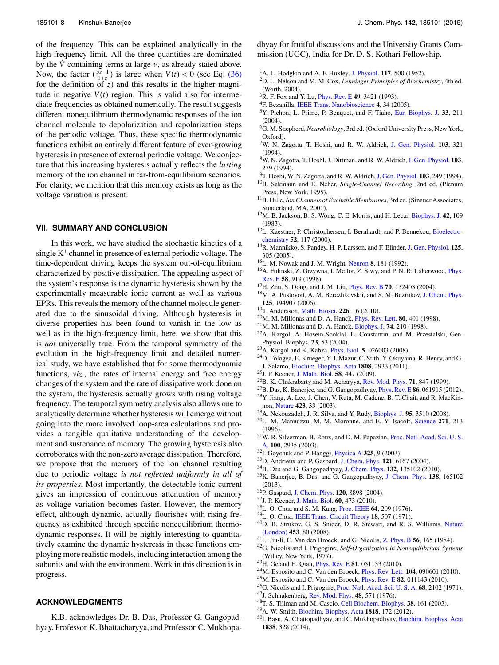of the frequency. This can be explained analytically in the high-frequency limit. All the three quantities are dominated by the  $\dot{V}$  containing terms at large  $v$ , as already stated above. Now, the factor  $(\frac{3z-1}{1+z})$  is large when  $V(t) < 0$  (see Eq. (36) for the definition of *z*) and this results in the higher magnitude in negative  $V(t)$  region. This is valid also for intermediate frequencies as obtained numerically. The result suggests different nonequilibrium thermodynamic responses of the ion channel molecule to depolarization and repolarization steps of the periodic voltage. Thus, these specific thermodynamic functions exhibit an entirely different feature of ever-growing hysteresis in presence of external periodic voltage. We conjecture that this increasing hysteresis actually reflects the *lasting* memory of the ion channel in far-from-equilibrium scenarios. For clarity, we mention that this memory exists as long as the voltage variation is present.

# **VII. SUMMARY AND CONCLUSION**

In this work, we have studied the stochastic kinetics of a single K<sup>+</sup> channel in presence of external periodic voltage. The time-dependent driving keeps the system out-of-equilibrium characterized by positive dissipation. The appealing aspect of the system's response is the dynamic hysteresis shown by the experimentally measurable ionic current as well as various EPRs. This reveals the memory of the channel molecule generated due to the sinusoidal driving. Although hysteresis in diverse properties has been found to vanish in the low as well as in the high-frequency limit, here, we show that this is *not* universally true. From the temporal symmetry of the evolution in the high-frequency limit and detailed numerical study, we have established that for some thermodynamic functions, *viz.*, the rates of internal energy and free energy changes of the system and the rate of dissipative work done on the system, the hysteresis actually grows with rising voltage frequency. The temporal symmetry analysis also allows one to analytically determine whether hysteresis will emerge without going into the more involved loop-area calculations and provides a tangible qualitative understanding of the development and sustenance of memory. The growing hysteresis also corroborates with the non-zero average dissipation. Therefore, we propose that the memory of the ion channel resulting due to periodic voltage *is not reflected uniformly in all of its properties*. Most importantly, the detectable ionic current gives an impression of continuous attenuation of memory as voltage variation becomes faster. However, the memory effect, although dynamic, actually flourishes with rising frequency as exhibited through specific nonequilibrium thermodynamic responses. It will be highly interesting to quantitatively examine the dynamic hysteresis in these functions employing more realistic models, including interaction among the subunits and with the environment. Work in this direction is in progress.

#### **ACKNOWLEDGMENTS**

K.B. acknowledges Dr. B. Das, Professor G. Gangopadhyay, Professor K. Bhattacharyya, and Professor C. Mukhopadhyay for fruitful discussions and the University Grants Commission (UGC), India for Dr. D. S. Kothari Fellowship.

- $<sup>1</sup>A$ . L. Hodgkin and A. F. Huxley, J. Physiol. 117, 500 (1952).</sup>
- <sup>2</sup>D. L. Nelson and M. M. Cox, *Lehninger Principles of Biochemistry*, 4th ed. (Worth, 2004).
- <sup>3</sup>R. F. Fox and Y. Lu, *Phys. Rev. E* **49**, 3421 (1993).
- <sup>4</sup>F. Bezanilla, IEEE Trans. Nanobioscience 4, 34 (2005).
- <sup>5</sup>Y. Pichon, L. Prime, P. Benquet, and F. Tiaho, Eur. Biophys. J. 33, 211 (2004).
- <sup>6</sup>G. M. Shepherd, *Neurobiology*, 3rd ed. (Oxford University Press, New York, Oxford).
- <sup>7</sup>W. N. Zagotta, T. Hoshi, and R. W. Aldrich, J. Gen. Physiol. 103, 321 (1994).
- <sup>8</sup>W. N. Zagotta, T. Hoshl, J. Dittman, and R. W. Aldrich,J. Gen. Physiol. 103, 279 (1994).
- <sup>9</sup>T. Hoshi, W. N. Zagotta, and R. W. Aldrich, J. Gen. Physiol. 103, 249 (1994).
- <sup>10</sup>B. Sakmann and E. Neher, *Single-Channel Recording*, 2nd ed. (Plenum Press, New York, 1995).
- <sup>11</sup>B. Hille, *Ion Channels of Excitable Membranes*, 3rd ed. (Sinauer Associates, Sunderland, MA, 2001).
- <sup>12</sup>M. B. Jackson, B. S. Wong, C. E. Morris, and H. Lecar, Biophys. J. 42, 109 (1983).
- <sup>13</sup>L. Kaestner, P. Christophersen, I. Bernhardt, and P. Bennekou, Bioelectrochemistry 52, 117 (2000).
- <sup>14</sup>R. Mannikko, S. Pandey, H. P. Larsson, and F. Elinder, J. Gen. Physiol. **125**, 305 (2005).
- <sup>15</sup>L. M. Nowak and J. M. Wright, Neuron 8, 181 (1992).
- <sup>16</sup>A. Fulinski, Z. Grzywna, I. Mellor, Z. Siwy, and P. N. R. Usherwood, *Phys.* Rev. E 58, 919 (1998).
- <sup>17</sup>H. Zhu, S. Dong, and J. M. Liu, Phys. Rev. B 70, 132403 (2004).
- <sup>18</sup>M. A. Pustovoit, A. M. Berezhkovskii, and S. M. Bezrukov, J. Chem. Phys. 125, 194907 (2006).
- <sup>19</sup>T. Andersson, Math. Biosci. 226, 16 (2010).
- $20$ M. M. Millonas and D. A. Hanck, *Phys. Rev. Lett.* **80**, 401 (1998).
- <sup>21</sup>M. M. Millonas and D. A. Hanck, Biophys. J. 74, 210 (1998).
- <sup>22</sup>A. Kargol, A. Hosein-Sooklal, L. Constantin, and M. Przestalski, Gen. Physiol. Biophys. 23, 53 (2004).
- <sup>23</sup>A. Kargol and K. Kabza, Phys. Biol. 5, 026003 (2008).
- <sup>24</sup>D. Fologea, E. Krueger, Y. I. Mazur, C. Stith, Y. Okuyama, R. Henry, and G. J. Salamo, Biochim. Biophys. Acta 1808, 2933 (2011).
- <sup>25</sup>J. P. Keener, J. Math. Biol. 58, 447 (2009).
- <sup>26</sup>B. K. Chakrabarty and M. Acharyya, Rev. Mod. Phys. 71, 847 (1999).
- <sup>27</sup>B. Das, K. Banerjee, and G. Gangopadhyay, Phys. Rev. E 86, 061915 (2012).
- <sup>28</sup>Y. Jiang, A. Lee, J. Chen, V. Ruta, M. Cadene, B. T. Chait, and R. MacKinnon, Nature 423, 33 (2003).
- <sup>29</sup>A. Nekouzadeh, J. R. Silva, and Y. Rudy, Biophys. J. 95, 3510 (2008).
- $30L$ . M. Mannuzzu, M. M. Moronne, and E. Y. Isacoff, Science 271, 213 (1996).
- <sup>31</sup>W. R. Silverman, B. Roux, and D. M. Papazian, Proc. Natl. Acad. Sci. U. S. A. 100, 2935 (2003).
- <sup>32</sup>I. Goychuk and P. Hanggi, *Physica A* 325, 9 (2003).
- <sup>33</sup>D. Andrieux and P. Gaspard, J. Chem. Phys. 121, 6167 (2004).
- <sup>34</sup>B. Das and G. Gangopadhyay, J. Chem. Phys. 132, 135102 (2010).
- <sup>35</sup>K. Banerjee, B. Das, and G. Gangopadhyay, J. Chem. Phys. 138, 165102 (2013).
- <sup>36</sup>P. Gaspard, J. Chem. Phys. 120, 8898 (2004).
- <sup>37</sup>J. P. Keener, J. Math. Biol. 60, 473 (2010).
- <sup>38</sup>L. O. Chua and S. M. Kang, Proc. IEEE 64, 209 (1976).
- <sup>39</sup>L. O. Chua, IEEE Trans. Circuit Theory 18, 507 (1971).
- <sup>40</sup>D. B. Strukov, G. S. Snider, D. R. Stewart, and R. S. Williams, Nature (London) 453, 80 (2008).
- <sup>41</sup>L. Jiu-li, C. Van den Broeck, and G. Nicolis, Z. Phys. B 56, 165 (1984).
- <sup>42</sup>G. Nicolis and I. Prigogine, *Self-Organization in Nonequilibrium Systems* (Willey, New York, 1977).
- <sup>43</sup>H. Ge and H. Qian, Phys. Rev. E 81, 051133 (2010).
- 44M. Esposito and C. Van den Broeck, *Phys. Rev. Lett.* **104**, 090601 (2010).
- <sup>45</sup>M. Esposito and C. Van den Broeck, Phys. Rev. E 82, 011143 (2010).
- <sup>46</sup>G. Nicolis and I. Prigogine, Proc. Natl. Acad. Sci. U. S. A. 68, 2102 (1971).
- <sup>47</sup>J. Schnakenberg, Rev. Mod. Phys. 48, 571 (1976).
- <sup>48</sup>T. S. Tillman and M. Cascio, Cell Biochem. Biophys. 38, 161 (2003).
- <sup>49</sup>A. W. Smith, Biochim. Biophys. Acta 1818, 172 (2012).
- <sup>50</sup>I. Basu, A. Chattopadhyay, and C. Mukhopadhyay, Biochim. Biophys. Acta 1838, 328 (2014).